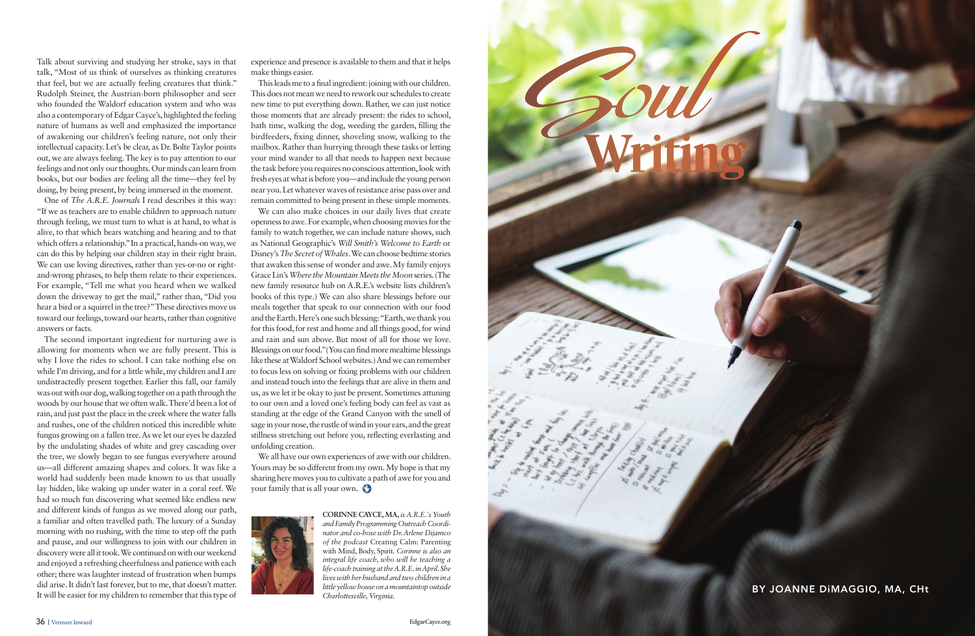

**Coul** 

Talk about surviving and studying her stroke, says in that talk, "Most of us think of ourselves as thinking creatures that feel, but we are actually feeling creatures that think." Rudolph Steiner, the Austrian-born philosopher and seer who founded the Waldorf education system and who was also a contemporary of Edgar Cayce's, highlighted the feeling nature of humans as well and emphasized the importance of awakening our children's feeling nature, not only their intellectual capacity. Let's be clear, as Dr. Bolte Taylor points out, we are always feeling. The key is to pay attention to our feelings and not only our thoughts. Our minds can learn from books, but our bodies are feeling all the time—they feel by doing, by being present, by being immersed in the moment.

One of *The A.R.E. Journal*s I read describes it this way: "If we as teachers are to enable children to approach nature through feeling, we must turn to what is at hand, to what is alive, to that which bears watching and hearing and to that which offers a relationship." In a practical, hands-on way, we can do this by helping our children stay in their right brain. We can use loving directives, rather than yes-or-no or rightand-wrong phrases, to help them relate to their experiences. For example, "Tell me what you heard when we walked down the driveway to get the mail," rather than, "Did you hear a bird or a squirrel in the tree?" These directives move us toward our feelings, toward our hearts, rather than cognitive answers or facts.

The second important ingredient for nurturing awe is allowing for moments when we are fully present. This is why I love the rides to school. I can take nothing else on while I'm driving, and for a little while, my children and I are undistractedly present together. Earlier this fall, our family was out with our dog, walking together on a path through the woods by our house that we often walk. There'd been a lot of rain, and just past the place in the creek where the water falls and rushes, one of the children noticed this incredible white fungus growing on a fallen tree. As we let our eyes be dazzled by the undulating shades of white and grey cascading over the tree, we slowly began to see fungus everywhere around us—all different amazing shapes and colors. It was like a world had suddenly been made known to us that usually lay hidden, like waking up under water in a coral reef. We had so much fun discovering what seemed like endless new and different kinds of fungus as we moved along our path, a familiar and often travelled path. The luxury of a Sunday morning with no rushing, with the time to step off the path and pause, and our willingness to join with our children in discovery were all it took. We continued on with our weekend and enjoyed a refreshing cheerfulness and patience with each other; there was laughter instead of frustration when bumps did arise. It didn't last forever, but to me, that doesn't matter. It will be easier for my children to remember that this type of

experience and presence is available to them and that it helps make things easier.

This leads me to a final ingredient: joining with our children. This does not mean we need to rework our schedules to create new time to put everything down. Rather, we can just notice those moments that are already present: the rides to school, bath time, walking the dog, weeding the garden, filling the birdfeeders, fixing dinner, shoveling snow, walking to the mailbox. Rather than hurrying through these tasks or letting your mind wander to all that needs to happen next because the task before you requires no conscious attention, look with fresh eyes at what is before you—and include the young person near you. Let whatever waves of resistance arise pass over and remain committed to being present in these simple moments.

We can also make choices in our daily lives that create openness to awe. For example, when choosing movies for the family to watch together, we can include nature shows, such as National Geographic's *Will Smith's Welcome to Earth* or Disney's *The Secret of Whales*. We can choose bedtime stories that awaken this sense of wonder and awe. My family enjoys Grace Lin's *Where the Mountain Meets the Moon* series. (The new family resource hub on A.R.E.'s website lists children's books of this type.) We can also share blessings before our meals together that speak to our connection with our food and the Earth. Here's one such blessing: "Earth, we thank you for this food, for rest and home and all things good, for wind and rain and sun above. But most of all for those we love. Blessings on our food."(You can find more mealtime blessings like these at Waldorf School websites.) And we can remember to focus less on solving or fixing problems with our children and instead touch into the feelings that are alive in them and us, as we let it be okay to just be present. Sometimes attuning to our own and a loved one's feeling body can feel as vast as standing at the edge of the Grand Canyon with the smell of sage in your nose, the rustle of wind in your ears, and the great stillness stretching out before you, reflecting everlasting and unfolding creation.

We all have our own experiences of awe with our children. Yours may be so different from my own. My hope is that my sharing here moves you to cultivate a path of awe for you and your family that is all your own.



**CORINNE CAYCE, MA,** *is A.R.E.'s Youth and Family Programming Outreach Coordinator and co-hose with Dr. Arlene Dijamco of the podcast* Creating Calm: Parenting with Mind, Body, Spirit*. Corinne is also an integral life coach, who will be teaching a life-coach training at the A.R.E. in April. She lives with her husband and two children in a little yellow house on a mountaintop outside Charlottesville, Virginia.*

BY JOANNE DiMAGGIO, MA, CHt

 **Writing**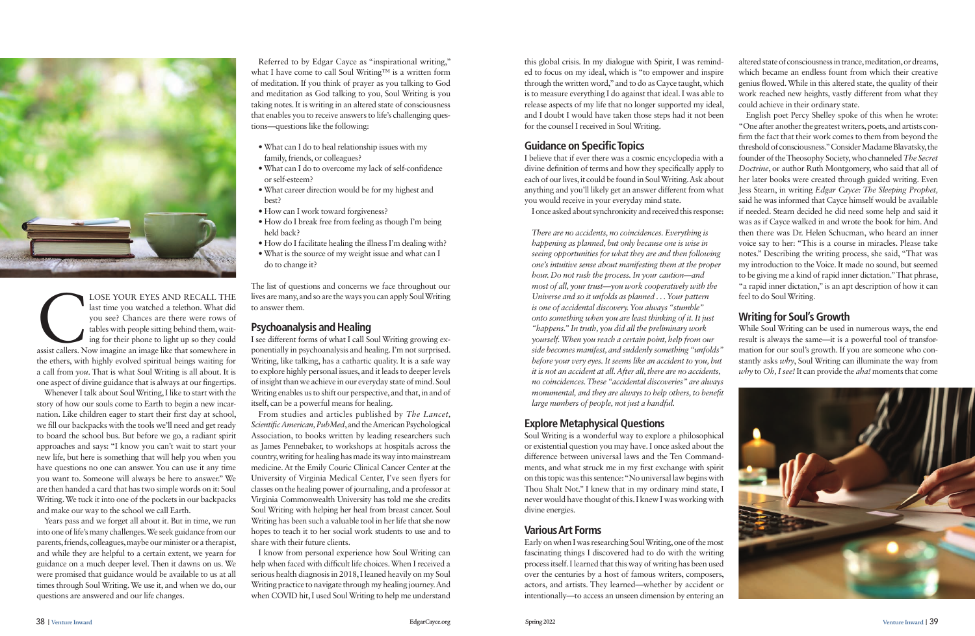

LOSE YOUR EYES AND RECALL THE<br>
last time you watched a telethon. What did<br>
you see? Chances are there were rows of<br>
tables with people sitting behind them, wait-<br>
ing for their phone to light up so they could<br>
assist calle last time you watched a telethon. What did you see? Chances are there were rows of tables with people sitting behind them, waiting for their phone to light up so they could the ethers, with highly evolved spiritual beings waiting for a call from *you*. That is what Soul Writing is all about. It is one aspect of divine guidance that is always at our fingertips.

Whenever I talk about Soul Writing, I like to start with the story of how our souls come to Earth to begin a new incarnation. Like children eager to start their first day at school, we fill our backpacks with the tools we'll need and get ready to board the school bus. But before we go, a radiant spirit approaches and says: "I know you can't wait to start your new life, but here is something that will help you when you have questions no one can answer. You can use it any time you want to. Someone will always be here to answer." We are then handed a card that has two simple words on it: Soul Writing. We tuck it into one of the pockets in our backpacks and make our way to the school we call Earth.

Years pass and we forget all about it. But in time, we run into one of life's many challenges. We seek guidance from our parents, friends, colleagues, maybe our minister or a therapist, and while they are helpful to a certain extent, we yearn for guidance on a much deeper level. Then it dawns on us. We were promised that guidance would be available to us at all times through Soul Writing. We use it, and when we do, our questions are answered and our life changes.

Referred to by Edgar Cayce as "inspirational writing," what I have come to call Soul Writing™ is a written form of meditation. If you think of prayer as you talking to God and meditation as God talking to you, Soul Writing is you taking notes. It is writing in an altered state of consciousness that enables you to receive answers to life's challenging questions—questions like the following:

- What can I do to heal relationship issues with my family, friends, or colleagues?
- What can I do to overcome my lack of self-confidence or self-esteem?
- What career direction would be for my highest and best?
- How can I work toward forgiveness?
- How do I break free from feeling as though I'm being held back?
- How do I facilitate healing the illness I'm dealing with?
- What is the source of my weight issue and what can I do to change it?

The list of questions and concerns we face throughout our lives are many, and so are the ways you can apply Soul Writing to answer them.

# **Psychoanalysis and Healing**

I see different forms of what I call Soul Writing growing exponentially in psychoanalysis and healing. I'm not surprised. Writing, like talking, has a cathartic quality. It is a safe way to explore highly personal issues, and it leads to deeper levels of insight than we achieve in our everyday state of mind. Soul Writing enables us to shift our perspective, and that, in and of itself, can be a powerful means for healing.

From studies and articles published by *The Lancet, Scientific American, PubMed*, and the American Psychological Association, to books written by leading researchers such as James Pennebaker, to workshops at hospitals across the country, writing for healing has made its way into mainstream medicine. At the Emily Couric Clinical Cancer Center at the University of Virginia Medical Center, I've seen flyers for classes on the healing power of journaling, and a professor at Virginia Commonwealth University has told me she credits Soul Writing with helping her heal from breast cancer. Soul Writing has been such a valuable tool in her life that she now hopes to teach it to her social work students to use and to share with their future clients.

I know from personal experience how Soul Writing can help when faced with difficult life choices. When I received a serious health diagnosis in 2018, I leaned heavily on my Soul Writing practice to navigate through my healing journey. And when COVID hit, I used Soul Writing to help me understand this global crisis. In my dialogue with Spirit, I was reminded to focus on my ideal, which is "to empower and inspire through the written word," and to do as Cayce taught, which is to measure everything I do against that ideal. I was able to release aspects of my life that no longer supported my ideal, and I doubt I would have taken those steps had it not been for the counsel I received in Soul Writing.

# **Guidance on Specific Topics**

I believe that if ever there was a cosmic encyclopedia with a divine definition of terms and how they specifically apply to each of our lives, it could be found in Soul Writing. Ask about anything and you'll likely get an answer different from what you would receive in your everyday mind state.

I once asked about synchronicity and received this response:

*There are no accidents, no coincidences. Everything is happening as planned, but only because one is wise in seeing opportunities for what they are and then following one's intuitive sense about manifesting them at the proper hour. Do not rush the process. In your caution—and most of all, your trust—you work cooperatively with the Universe and so it unfolds as planned . . . Your pattern is one of accidental discovery. You always "stumble" onto something when you are least thinking of it. It just "happens." In truth, you did all the preliminary work yourself. When you reach a certain point, help from our side becomes manifest, and suddenly something "unfolds" before your very eyes. It seems like an accident to you, but it is not an accident at all. After all, there are no accidents, no coincidences. These "accidental discoveries" are always monumental, and they are always to help others, to benefit large numbers of people, not just a handful.*

# **Explore Metaphysical Questions**

Soul Writing is a wonderful way to explore a philosophical or existential question you may have. I once asked about the difference between universal laws and the Ten Commandments, and what struck me in my first exchange with spirit on this topic was this sentence: "No universal law begins with Thou Shalt Not." I knew that in my ordinary mind state, I never would have thought of this. I knew I was working with divine energies.

### **Various Art Forms**

Early on when I was researching Soul Writing, one of the most fascinating things I discovered had to do with the writing process itself. I learned that this way of writing has been used over the centuries by a host of famous writers, composers, actors, and artists. They learned—whether by accident or intentionally—to access an unseen dimension by entering an altered state of consciousness in trance, meditation, or dreams, which became an endless fount from which their creative genius flowed. While in this altered state, the quality of their work reached new heights, vastly different from what they could achieve in their ordinary state.

English poet Percy Shelley spoke of this when he wrote: "One after another the greatest writers, poets, and artists confirm the fact that their work comes to them from beyond the threshold of consciousness." Consider Madame Blavatsky, the founder of the Theosophy Society, who channeled *The Secret Doctrine*, or author Ruth Montgomery, who said that all of her later books were created through guided writing. Even Jess Stearn, in writing *Edgar Cayce: The Sleeping Prophet,*  said he was informed that Cayce himself would be available if needed. Stearn decided he did need some help and said it was as if Cayce walked in and wrote the book for him. And then there was Dr. Helen Schucman, who heard an inner voice say to her: "This is a course in miracles. Please take notes." Describing the writing process, she said, "That was my introduction to the Voice. It made no sound, but seemed to be giving me a kind of rapid inner dictation." That phrase, "a rapid inner dictation," is an apt description of how it can feel to do Soul Writing.

#### **Writing for Soul's Growth**

While Soul Writing can be used in numerous ways, the end result is always the same—it is a powerful tool of transformation for our soul's growth. If you are someone who constantly asks *why*, Soul Writing can illuminate the way from *why* to *Oh, I see!* It can provide the *aha!* moments that come